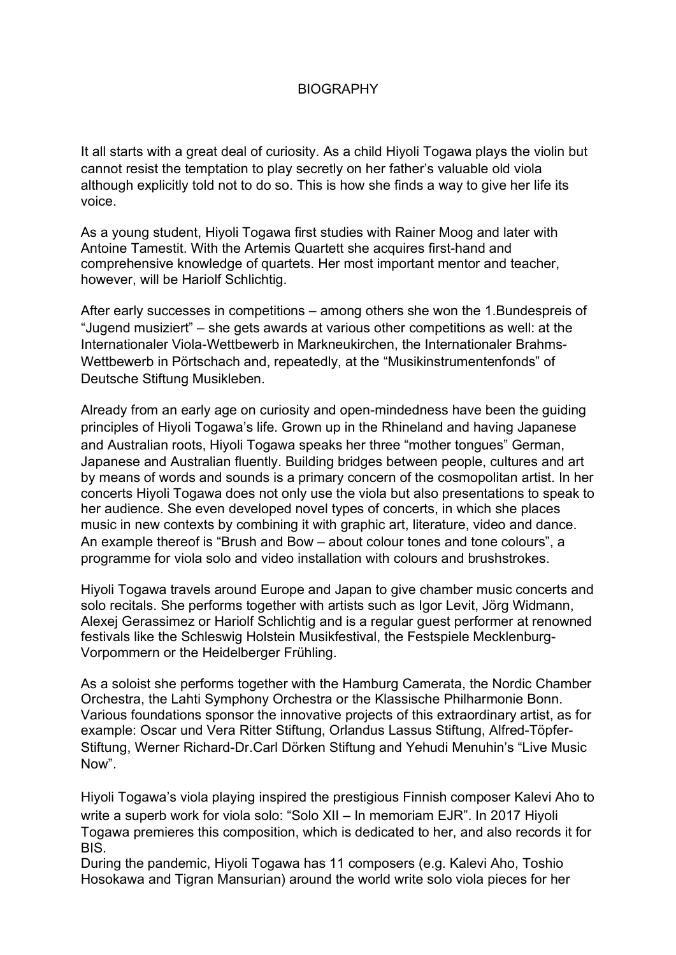## BIOGRAPHY

It all starts with a great deal of curiosity. As a child Hiyoli Togawa plays the violin but cannot resist the temptation to play secretly on her father's valuable old viola although explicitly told not to do so. This is how she finds a way to give her life its voice.

As a young student, Hiyoli Togawa first studies with Rainer Moog and later with Antoine Tamestit. With the Artemis Quartett she acquires first-hand and comprehensive knowledge of quartets. Her most important mentor and teacher, however, will be Hariolf Schlichtig.

After early successes in competitions – among others she won the 1.Bundespreis of "Jugend musiziert" – she gets awards at various other competitions as well: at the Internationaler Viola-Wettbewerb in Markneukirchen, the Internationaler Brahms-Wettbewerb in Pörtschach and, repeatedly, at the "Musikinstrumentenfonds" of Deutsche Stiftung Musikleben.

Already from an early age on curiosity and open-mindedness have been the guiding principles of Hiyoli Togawa's life. Grown up in the Rhineland and having Japanese and Australian roots, Hiyoli Togawa speaks her three "mother tongues" German, Japanese and Australian fluently. Building bridges between people, cultures and art by means of words and sounds is a primary concern of the cosmopolitan artist. In her concerts Hiyoli Togawa does not only use the viola but also presentations to speak to her audience. She even developed novel types of concerts, in which she places music in new contexts by combining it with graphic art, literature, video and dance. An example thereof is "Brush and Bow – about colour tones and tone colours", a programme for viola solo and video installation with colours and brushstrokes.

Hiyoli Togawa travels around Europe and Japan to give chamber music concerts and solo recitals. She performs together with artists such as Igor Levit, Jörg Widmann, Alexej Gerassimez or Hariolf Schlichtig and is a regular guest performer at renowned festivals like the Schleswig Holstein Musikfestival, the Festspiele Mecklenburg-Vorpommern or the Heidelberger Frühling.

As a soloist she performs together with the Hamburg Camerata, the Nordic Chamber Orchestra, the Lahti Symphony Orchestra or the Klassische Philharmonie Bonn. Various foundations sponsor the innovative projects of this extraordinary artist, as for example: Oscar und Vera Ritter Stiftung, Orlandus Lassus Stiftung, Alfred-Töpfer-Stiftung, Werner Richard-Dr.Carl Dörken Stiftung and Yehudi Menuhin's "Live Music Now".

Hiyoli Togawa's viola playing inspired the prestigious Finnish composer Kalevi Aho to write a superb work for viola solo: "Solo XII – In memoriam EJR". In 2017 Hiyoli Togawa premieres this composition, which is dedicated to her, and also records it for BIS.

During the pandemic, Hiyoli Togawa has 11 composers (e.g. Kalevi Aho, Toshio Hosokawa and Tigran Mansurian) around the world write solo viola pieces for her